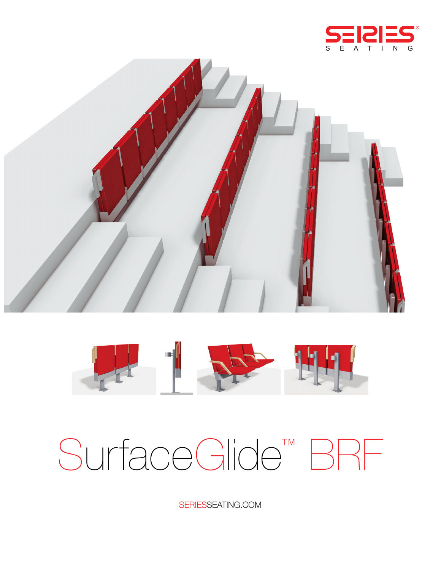





# SurfaceGlide<sup>TM</sup> BRF

SERIESSEATING.COM